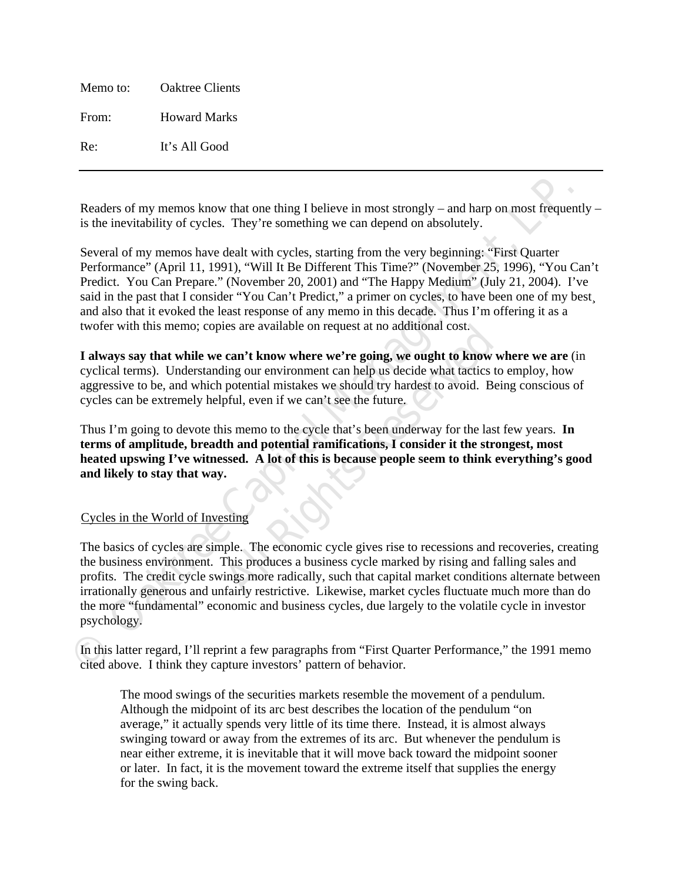Memo to: Oaktree Clients From: Howard Marks Re: It's All Good

Readers of my memos know that one thing I believe in most strongly – and harp on most frequently – is the inevitability of cycles. They're something we can depend on absolutely.

Readers of my memos know that one thing I believe in most strongly – and harp on most frequent)<br>is the inevitability of cycless. They're something we can depend on absolutely.<br>Several of my memos have dealt with cycles, st Several of my memos have dealt with cycles, starting from the very beginning: "First Quarter Performance" (April 11, 1991), "Will It Be Different This Time?" (November 25, 1996), "You Can't Predict. You Can Prepare." (November 20, 2001) and "The Happy Medium" (July 21, 2004). I've said in the past that I consider "You Can't Predict," a primer on cycles, to have been one of my best and also that it evoked the least response of any memo in this decade. Thus I'm offering it as a twofer with this memo; copies are available on request at no additional cost.

**Cast and a set available of request at no additional cost.**<br> **Can't know where we're going, we ought to know w**<br>
ling our environment can help us decide what tactics to<br>
potential mistakes we should try hardest to avoid. **I always say that while we can't know where we're going, we ought to know where we are** (in cyclical terms). Understanding our environment can help us decide what tactics to employ, how aggressive to be, and which potential mistakes we should try hardest to avoid. Being conscious of cycles can be extremely helpful, even if we can't see the future.

Thus I'm going to devote this memo to the cycle that's been underway for the last few years. **In terms of amplitude, breadth and potential ramifications, I consider it the strongest, most heated upswing I've witnessed. A lot of this is because people seem to think everything's good and likely to stay that way.**

# UCycles in the World of Investing

The basics of cycles are simple. The economic cycle gives rise to recessions and recoveries, creating the business environment. This produces a business cycle marked by rising and falling sales and profits. The credit cycle swings more radically, such that capital market conditions alternate between irrationally generous and unfairly restrictive. Likewise, market cycles fluctuate much more than do the more "fundamental" economic and business cycles, due largely to the volatile cycle in investor psychology.

In this latter regard, I'll reprint a few paragraphs from "First Quarter Performance," the 1991 memo cited above. I think they capture investors' pattern of behavior.

The mood swings of the securities markets resemble the movement of a pendulum. Although the midpoint of its arc best describes the location of the pendulum "on average," it actually spends very little of its time there. Instead, it is almost always swinging toward or away from the extremes of its arc. But whenever the pendulum is near either extreme, it is inevitable that it will move back toward the midpoint sooner or later. In fact, it is the movement toward the extreme itself that supplies the energy for the swing back.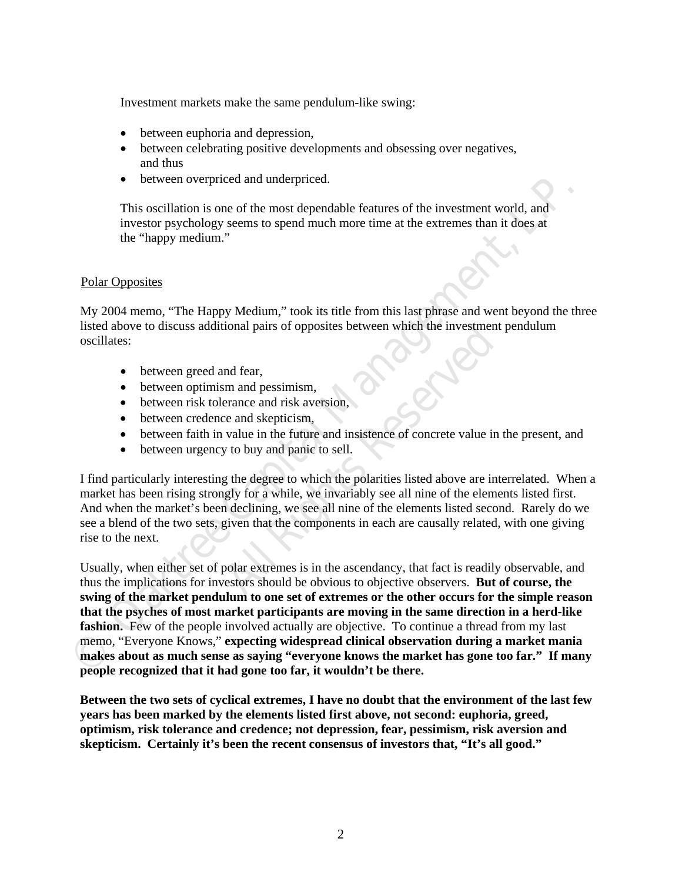Investment markets make the same pendulum-like swing:

- between euphoria and depression,
- between celebrating positive developments and obsessing over negatives, and thus
- between overpriced and underpriced.

This oscillation is one of the most dependable features of the investment world, and investor psychology seems to spend much more time at the extremes than it does at the "happy medium."

### Polar Opposites

My 2004 memo, "The Happy Medium," took its title from this last phrase and went beyond the three listed above to discuss additional pairs of opposites between which the investment pendulum oscillates:

- between greed and fear,
- between optimism and pessimism,
- between risk tolerance and risk aversion,
- between credence and skepticism,
- between faith in value in the future and insistence of concrete value in the present, and
- between urgency to buy and panic to sell.

All Rights of opposites between which are investment<br>
and fear,<br>
all Rights Reserved and risk aversion,<br>
all Rights Reserved and insistence of concrete value in<br>
y to buy and panic to sell.<br>
<br>
g the degree to which the pol I find particularly interesting the degree to which the polarities listed above are interrelated. When a market has been rising strongly for a while, we invariably see all nine of the elements listed first. And when the market's been declining, we see all nine of the elements listed second. Rarely do we see a blend of the two sets, given that the components in each are causally related, with one giving rise to the next.

Fina costillation is one of the most dependable features of the investment world, and<br>investor psychology secms to spend much more time at the extremes than it does at<br>the "happy medium."<br>
Polar Opposites<br>
My 2004 memo. "T Usually, when either set of polar extremes is in the ascendancy, that fact is readily observable, and thus the implications for investors should be obvious to objective observers. **But of course, the swing of the market pendulum to one set of extremes or the other occurs for the simple reason that the psyches of most market participants are moving in the same direction in a herd-like fashion.** Few of the people involved actually are objective. To continue a thread from my last memo, "Everyone Knows," **expecting widespread clinical observation during a market mania makes about as much sense as saying "everyone knows the market has gone too far." If many people recognized that it had gone too far, it wouldn't be there.**

**Between the two sets of cyclical extremes, I have no doubt that the environment of the last few years has been marked by the elements listed first above, not second: euphoria, greed, optimism, risk tolerance and credence; not depression, fear, pessimism, risk aversion and skepticism. Certainly it's been the recent consensus of investors that, "It's all good."**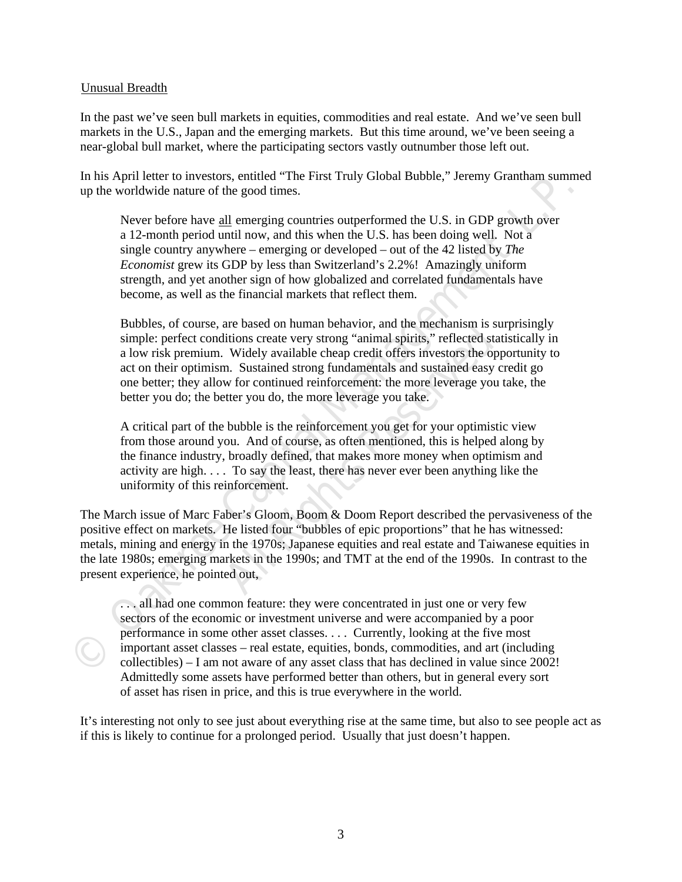#### Unusual Breadth

In the past we've seen bull markets in equities, commodities and real estate. And we've seen bull markets in the U.S., Japan and the emerging markets. But this time around, we've been seeing a near-global bull market, where the participating sectors vastly outnumber those left out.

In his April letter to investors, entitled "The First Truly Global Bubble," Jeremy Grantham summed up the worldwide nature of the good times.

**The worldwide nature of the good times.**<br>
We are the proof of the good times.<br>
Never before have all energing countries outperformed the U.S. in Super and the and 12-months predict North and all move, and this when the U. Never before have all emerging countries outperformed the U.S. in GDP growth over a 12-month period until now, and this when the U.S. has been doing well. Not a single country anywhere – emerging or developed – out of the 42 listed by *The Economist* grew its GDP by less than Switzerland's 2.2%! Amazingly uniform strength, and yet another sign of how globalized and correlated fundamentals have become, as well as the financial markets that reflect them.

litions create very strong "animal spirits," reflected state Widely available cheap credit offers investors the opp.<br>The Sustained strong fundamentals and sustained easy cw for continued reinforcement: the more leverage yo Bubbles, of course, are based on human behavior, and the mechanism is surprisingly simple: perfect conditions create very strong "animal spirits," reflected statistically in a low risk premium. Widely available cheap credit offers investors the opportunity to act on their optimism. Sustained strong fundamentals and sustained easy credit go one better; they allow for continued reinforcement: the more leverage you take, the better you do; the better you do, the more leverage you take.

A critical part of the bubble is the reinforcement you get for your optimistic view from those around you. And of course, as often mentioned, this is helped along by the finance industry, broadly defined, that makes more money when optimism and activity are high. . . . To say the least, there has never ever been anything like the uniformity of this reinforcement.

The March issue of Marc Faber's Gloom, Boom & Doom Report described the pervasiveness of the positive effect on markets. He listed four "bubbles of epic proportions" that he has witnessed: metals, mining and energy in the 1970s; Japanese equities and real estate and Taiwanese equities in the late 1980s; emerging markets in the 1990s; and TMT at the end of the 1990s. In contrast to the present experience, he pointed out,

. . . all had one common feature: they were concentrated in just one or very few sectors of the economic or investment universe and were accompanied by a poor performance in some other asset classes. . . . Currently, looking at the five most important asset classes – real estate, equities, bonds, commodities, and art (including collectibles) – I am not aware of any asset class that has declined in value since 2002! Admittedly some assets have performed better than others, but in general every sort of asset has risen in price, and this is true everywhere in the world.

It's interesting not only to see just about everything rise at the same time, but also to see people act as if this is likely to continue for a prolonged period. Usually that just doesn't happen.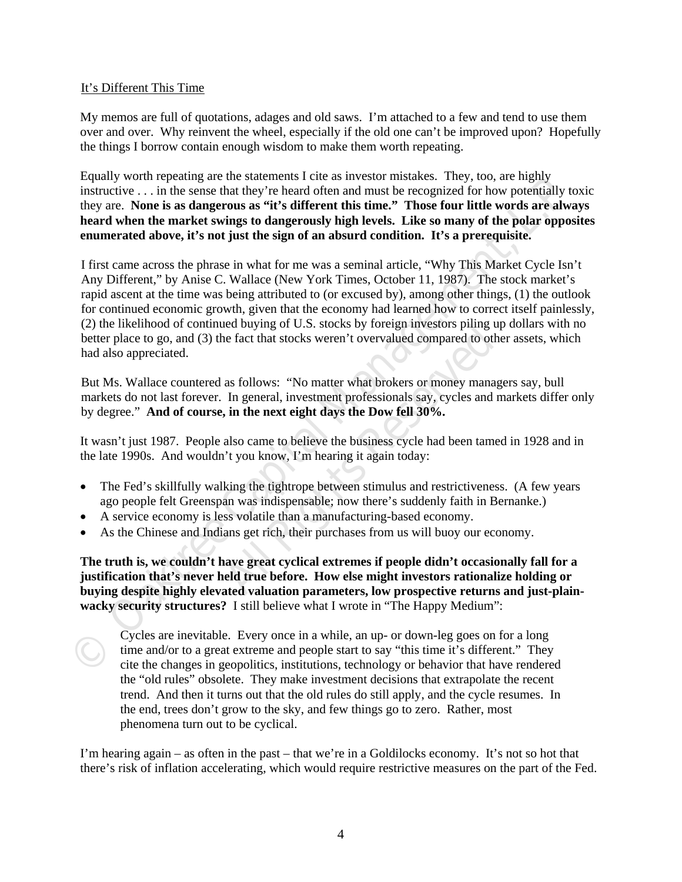### It's Different This Time

My memos are full of quotations, adages and old saws. I'm attached to a few and tend to use them over and over. Why reinvent the wheel, especially if the old one can't be improved upon? Hopefully the things I borrow contain enough wisdom to make them worth repeating.

Equally worth repeating are the statements I cite as investor mistakes. They, too, are highly instructive . . . in the sense that they're heard often and must be recognized for how potentially toxic they are. **None is as dangerous as "it's different this time." Those four little words are always heard when the market swings to dangerously high levels. Like so many of the polar opposites enumerated above, it's not just the sign of an absurd condition. It's a prerequisite.** 

instructive ... in the sense that they're heard often and must be recognized for how potentially toxi<br>they are. None is as dangerous as "if 8 different this time." Those form if the words are always<br>there the market swings I first came across the phrase in what for me was a seminal article, "Why This Market Cycle Isn't Any Different," by Anise C. Wallace (New York Times, October 11, 1987). The stock market's rapid ascent at the time was being attributed to (or excused by), among other things, (1) the outlook for continued economic growth, given that the economy had learned how to correct itself painlessly, (2) the likelihood of continued buying of U.S. stocks by foreign investors piling up dollars with no better place to go, and (3) the fact that stocks weren't overvalued compared to other assets, which had also appreciated.

is experience that stocks weren't overvalued compared to othe<br>as follows: "No matter what brokers or money manag<br>In general, investment professionals say, cycles and n<br>**, in the next eight days the Dow fell 30%.**<br>also came But Ms. Wallace countered as follows: "No matter what brokers or money managers say, bull markets do not last forever. In general, investment professionals say, cycles and markets differ only by degree." **And of course, in the next eight days the Dow fell 30%.** 

It wasn't just 1987. People also came to believe the business cycle had been tamed in 1928 and in the late 1990s. And wouldn't you know, I'm hearing it again today:

- The Fed's skillfully walking the tightrope between stimulus and restrictiveness. (A few years ago people felt Greenspan was indispensable; now there's suddenly faith in Bernanke.)
- A service economy is less volatile than a manufacturing-based economy.
- As the Chinese and Indians get rich, their purchases from us will buoy our economy.

**The truth is, we couldn't have great cyclical extremes if people didn't occasionally fall for a justification that's never held true before. How else might investors rationalize holding or buying despite highly elevated valuation parameters, low prospective returns and just-plainwacky security structures?** I still believe what I wrote in "The Happy Medium":

Cycles are inevitable. Every once in a while, an up- or down-leg goes on for a long time and/or to a great extreme and people start to say "this time it's different." They cite the changes in geopolitics, institutions, technology or behavior that have rendered the "old rules" obsolete. They make investment decisions that extrapolate the recent trend. And then it turns out that the old rules do still apply, and the cycle resumes. In the end, trees don't grow to the sky, and few things go to zero. Rather, most phenomena turn out to be cyclical.

I'm hearing again – as often in the past – that we're in a Goldilocks economy. It's not so hot that there's risk of inflation accelerating, which would require restrictive measures on the part of the Fed.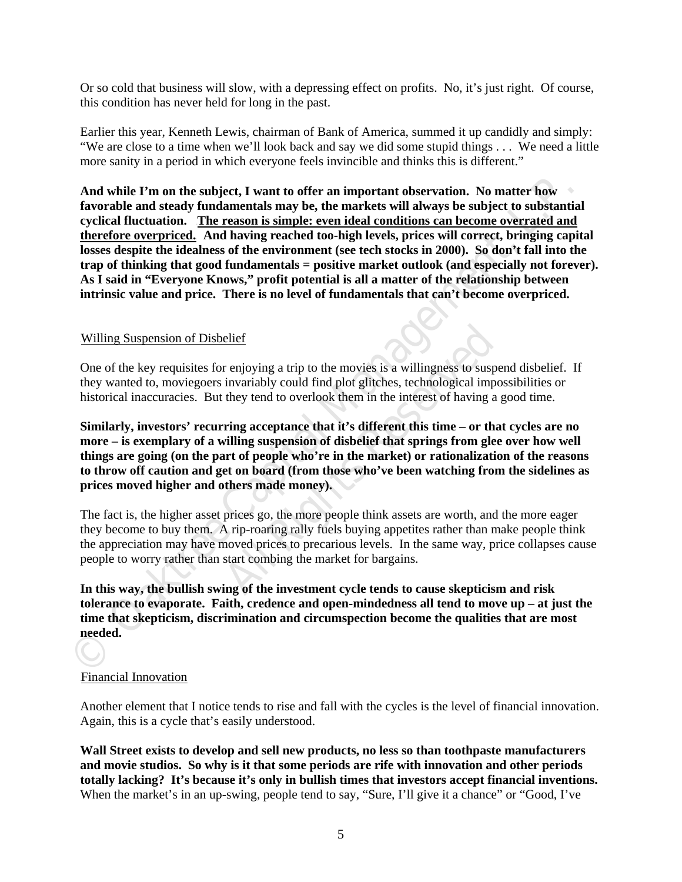Or so cold that business will slow, with a depressing effect on profits. No, it's just right. Of course, this condition has never held for long in the past.

Earlier this year, Kenneth Lewis, chairman of Bank of America, summed it up candidly and simply: "We are close to a time when we'll look back and say we did some stupid things . . . We need a little more sanity in a period in which everyone feels invincible and thinks this is different."

And while I'm on the subject, I want to offer an important observation. No matter how about a datend thromate and steady fundamentals may be, the markets will arways be subject to substantial cyclical fluctuation. The rea **And while I'm on the subject, I want to offer an important observation. No matter how favorable and steady fundamentals may be, the markets will always be subject to substantial cyclical fluctuation.** U**The reason is simple: even ideal conditions can become overrated and**  therefore overpriced. And having reached too-high levels, prices will correct, bringing capital **losses despite the idealness of the environment (see tech stocks in 2000). So don't fall into the trap of thinking that good fundamentals = positive market outlook (and especially not forever). As I said in "Everyone Knows," profit potential is all a matter of the relationship between intrinsic value and price. There is no level of fundamentals that can't become overpriced.** 

### UWilling Suspension of Disbelief

One of the key requisites for enjoying a trip to the movies is a willingness to suspend disbelief. If they wanted to, moviegoers invariably could find plot glitches, technological impossibilities or historical inaccuracies. But they tend to overlook them in the interest of having a good time.

elief<br>
r enjoying a trip to the movies is a willingness to suspe<br>
invariably could find plot glitches, technological impo<br>
they tend to overlook them in the interest of having a<br> *A*<br> **All Rights Reserved Constrainer and t Similarly, investors' recurring acceptance that it's different this time – or that cycles are no more – is exemplary of a willing suspension of disbelief that springs from glee over how well things are going (on the part of people who're in the market) or rationalization of the reasons to throw off caution and get on board (from those who've been watching from the sidelines as prices moved higher and others made money).** 

The fact is, the higher asset prices go, the more people think assets are worth, and the more eager they become to buy them. A rip-roaring rally fuels buying appetites rather than make people think the appreciation may have moved prices to precarious levels. In the same way, price collapses cause people to worry rather than start combing the market for bargains.

**In this way, the bullish swing of the investment cycle tends to cause skepticism and risk tolerance to evaporate. Faith, credence and open-mindedness all tend to move up – at just the time that skepticism, discrimination and circumspection become the qualities that are most needed.** 

#### Financial Innovation

Another element that I notice tends to rise and fall with the cycles is the level of financial innovation. Again, this is a cycle that's easily understood.

**Wall Street exists to develop and sell new products, no less so than toothpaste manufacturers and movie studios. So why is it that some periods are rife with innovation and other periods totally lacking? It's because it's only in bullish times that investors accept financial inventions.** When the market's in an up-swing, people tend to say, "Sure, I'll give it a chance" or "Good, I've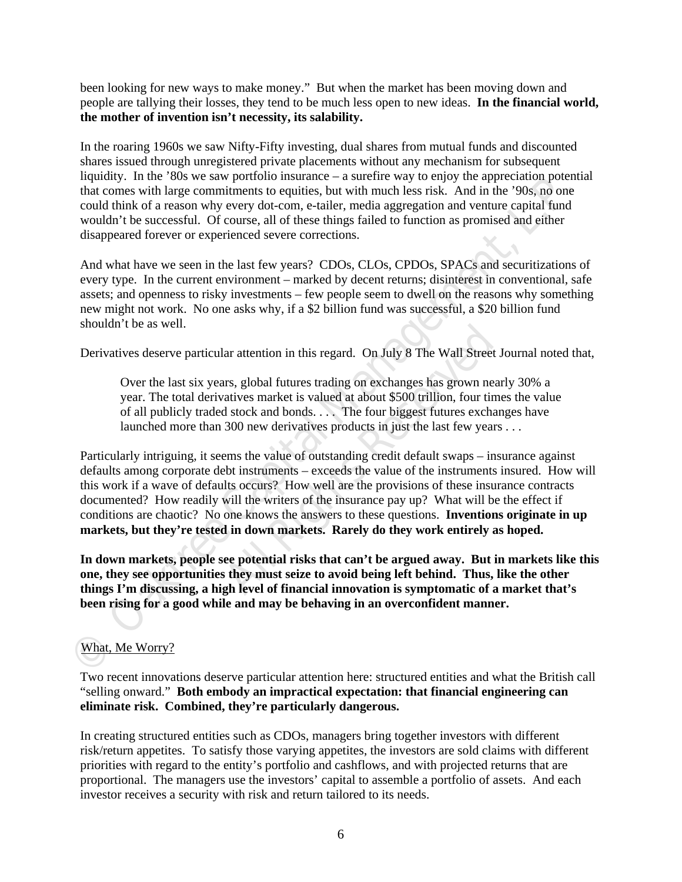been looking for new ways to make money." But when the market has been moving down and people are tallying their losses, they tend to be much less open to new ideas. **In the financial world, the mother of invention isn't necessity, its salability.** 

In the roaring 1960s we saw Nifty-Fifty investing, dual shares from mutual funds and discounted shares issued through unregistered private placements without any mechanism for subsequent liquidity. In the '80s we saw portfolio insurance – a surefire way to enjoy the appreciation potential that comes with large commitments to equities, but with much less risk. And in the '90s, no one could think of a reason why every dot-com, e-tailer, media aggregation and venture capital fund wouldn't be successful. Of course, all of these things failed to function as promised and either disappeared forever or experienced severe corrections.

And what have we seen in the last few years? CDOs, CLOs, CPDOs, SPACs and securitizations of every type. In the current environment – marked by decent returns; disinterest in conventional, safe assets; and openness to risky investments – few people seem to dwell on the reasons why something new might not work. No one asks why, if a \$2 billion fund was successful, a \$20 billion fund shouldn't be as well.

Derivatives deserve particular attention in this regard. On July 8 The Wall Street Journal noted that,

Over the last six years, global futures trading on exchanges has grown nearly 30% a year. The total derivatives market is valued at about \$500 trillion, four times the value of all publicly traded stock and bonds. . . . The four biggest futures exchanges have launched more than 300 new derivatives products in just the last few years ...

That comes with large commitments to equities, but with much less risk. And in the '90s, no one could hink of a reason why every dot com, e tailer, media agregation and venture capital fund<br>wouldn't be accessful. Of course ar attention in this regard. On July 8 The Wall Street J<br>urs, global futures trading on exchanges has grown near<br>atives market is valued at about \$500 trillion, four time<br>d stock and bonds.... The four biggest futures exch Particularly intriguing, it seems the value of outstanding credit default swaps – insurance against defaults among corporate debt instruments – exceeds the value of the instruments insured. How will this work if a wave of defaults occurs? How well are the provisions of these insurance contracts documented? How readily will the writers of the insurance pay up? What will be the effect if conditions are chaotic? No one knows the answers to these questions. **Inventions originate in up markets, but they're tested in down markets. Rarely do they work entirely as hoped.**

**In down markets, people see potential risks that can't be argued away. But in markets like this one, they see opportunities they must seize to avoid being left behind. Thus, like the other things I'm discussing, a high level of financial innovation is symptomatic of a market that's been rising for a good while and may be behaving in an overconfident manner.**

# What, Me Worry?

Two recent innovations deserve particular attention here: structured entities and what the British call "selling onward." **Both embody an impractical expectation: that financial engineering can eliminate risk. Combined, they're particularly dangerous.**

In creating structured entities such as CDOs, managers bring together investors with different risk/return appetites. To satisfy those varying appetites, the investors are sold claims with different priorities with regard to the entity's portfolio and cashflows, and with projected returns that are proportional. The managers use the investors' capital to assemble a portfolio of assets. And each investor receives a security with risk and return tailored to its needs.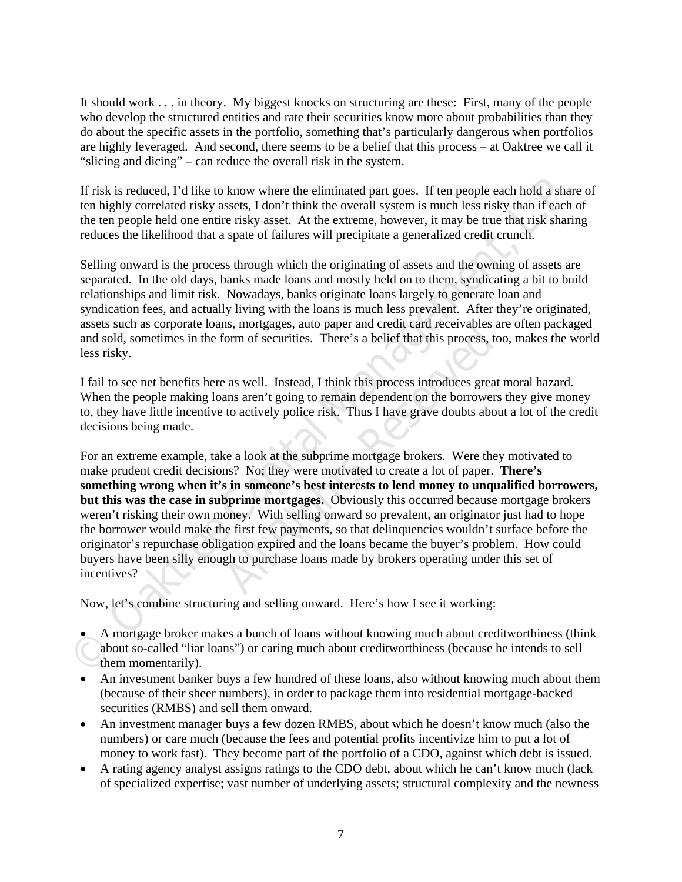It should work . . . in theory. My biggest knocks on structuring are these: First, many of the people who develop the structured entities and rate their securities know more about probabilities than they do about the specific assets in the portfolio, something that's particularly dangerous when portfolios are highly leveraged. And second, there seems to be a belief that this process – at Oaktree we call it "slicing and dicing" – can reduce the overall risk in the system.

If risk is reduced, I'd like to know where the eliminated part goes. If ten people each hold a share of ten highly correlated risky assets, I don't think the overall system is much less risky than if each of the ten people held one entire risky asset. At the extreme, however, it may be true that risk sharing reduces the likelihood that a spate of failures will precipitate a generalized credit crunch.

Selling onward is the process through which the originating of assets and the owning of assets are separated. In the old days, banks made loans and mostly held on to them, syndicating a bit to build relationships and limit risk. Nowadays, banks originate loans largely to generate loan and syndication fees, and actually living with the loans is much less prevalent. After they're originated, assets such as corporate loans, mortgages, auto paper and credit card receivables are often packaged and sold, sometimes in the form of securities. There's a belief that this process, too, makes the world less risky.

I fail to see net benefits here as well. Instead, I think this process introduces great moral hazard. When the people making loans aren't going to remain dependent on the borrowers they give money to, they have little incentive to actively police risk. Thus I have grave doubts about a lot of the credit decisions being made.

If risk is reduced. I'dlike to know where the eliminated part goes. If ten people each hold a share on highly correlated risky assets. I don't think the overall sysems is much less risky than if each of the conference the From of securities. There's a belief that this process, to<br>
as well. Instead, I think this process introduces great<br>
ans aren't going to remain dependent on the borrowers<br>
to actively police risk. Thus I have grave doubts For an extreme example, take a look at the subprime mortgage brokers. Were they motivated to make prudent credit decisions? No; they were motivated to create a lot of paper. **There's something wrong when it's in someone's best interests to lend money to unqualified borrowers, but this was the case in subprime mortgages.** Obviously this occurred because mortgage brokers weren't risking their own money. With selling onward so prevalent, an originator just had to hope the borrower would make the first few payments, so that delinquencies wouldn't surface before the originator's repurchase obligation expired and the loans became the buyer's problem. How could buyers have been silly enough to purchase loans made by brokers operating under this set of incentives?

Now, let's combine structuring and selling onward. Here's how I see it working:

 A mortgage broker makes a bunch of loans without knowing much about creditworthiness (think about so-called "liar loans") or caring much about creditworthiness (because he intends to sell them momentarily).

- An investment banker buys a few hundred of these loans, also without knowing much about them (because of their sheer numbers), in order to package them into residential mortgage-backed securities (RMBS) and sell them onward.
- An investment manager buys a few dozen RMBS, about which he doesn't know much (also the numbers) or care much (because the fees and potential profits incentivize him to put a lot of money to work fast). They become part of the portfolio of a CDO, against which debt is issued.
- A rating agency analyst assigns ratings to the CDO debt, about which he can't know much (lack of specialized expertise; vast number of underlying assets; structural complexity and the newness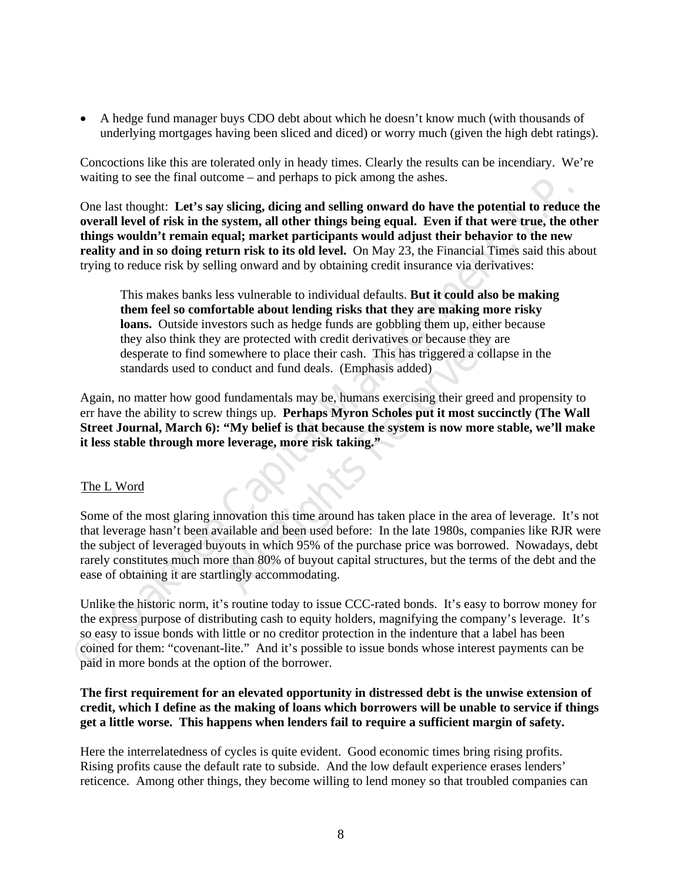A hedge fund manager buys CDO debt about which he doesn't know much (with thousands of underlying mortgages having been sliced and diced) or worry much (given the high debt ratings).

Concoctions like this are tolerated only in heady times. Clearly the results can be incendiary. We're waiting to see the final outcome – and perhaps to pick among the ashes.

One last thought: **Let's say slicing, dicing and selling onward do have the potential to reduce the overall level of risk in the system, all other things being equal. Even if that were true, the other things wouldn't remain equal; market participants would adjust their behavior to the new reality and in so doing return risk to its old level.** On May 23, the Financial Times said this about trying to reduce risk by selling onward and by obtaining credit insurance via derivatives:

name when but the warm of the magnitude to the state of the state of the state that the control of the state of the state in the state of the state of the state of the state of the state of the state of the state of the st This makes banks less vulnerable to individual defaults. **But it could also be making them feel so comfortable about lending risks that they are making more risky loans.** Outside investors such as hedge funds are gobbling them up, either because they also think they are protected with credit derivatives or because they are desperate to find somewhere to place their cash. This has triggered a collapse in the standards used to conduct and fund deals. (Emphasis added)

Again, no matter how good fundamentals may be, humans exercising their greed and propensity to err have the ability to screw things up. **Perhaps Myron Scholes put it most succinctly (The Wall Street Journal, March 6): "My belief is that because the system is now more stable, we'll make it less stable through more leverage, more risk taking."** 

#### The L Word

are protected with credit derivatives or because they an are protected with credit derivatives or because they an newhere to place their cash. This has triggered a colla mduct and fund deals. (Emphasis added) fundamentals Some of the most glaring innovation this time around has taken place in the area of leverage. It's not that leverage hasn't been available and been used before: In the late 1980s, companies like RJR were the subject of leveraged buyouts in which 95% of the purchase price was borrowed. Nowadays, debt rarely constitutes much more than 80% of buyout capital structures, but the terms of the debt and the ease of obtaining it are startlingly accommodating.

Unlike the historic norm, it's routine today to issue CCC-rated bonds. It's easy to borrow money for the express purpose of distributing cash to equity holders, magnifying the company's leverage. It's so easy to issue bonds with little or no creditor protection in the indenture that a label has been coined for them: "covenant-lite." And it's possible to issue bonds whose interest payments can be paid in more bonds at the option of the borrower.

# **The first requirement for an elevated opportunity in distressed debt is the unwise extension of credit, which I define as the making of loans which borrowers will be unable to service if things get a little worse. This happens when lenders fail to require a sufficient margin of safety.**

Here the interrelatedness of cycles is quite evident. Good economic times bring rising profits. Rising profits cause the default rate to subside. And the low default experience erases lenders' reticence. Among other things, they become willing to lend money so that troubled companies can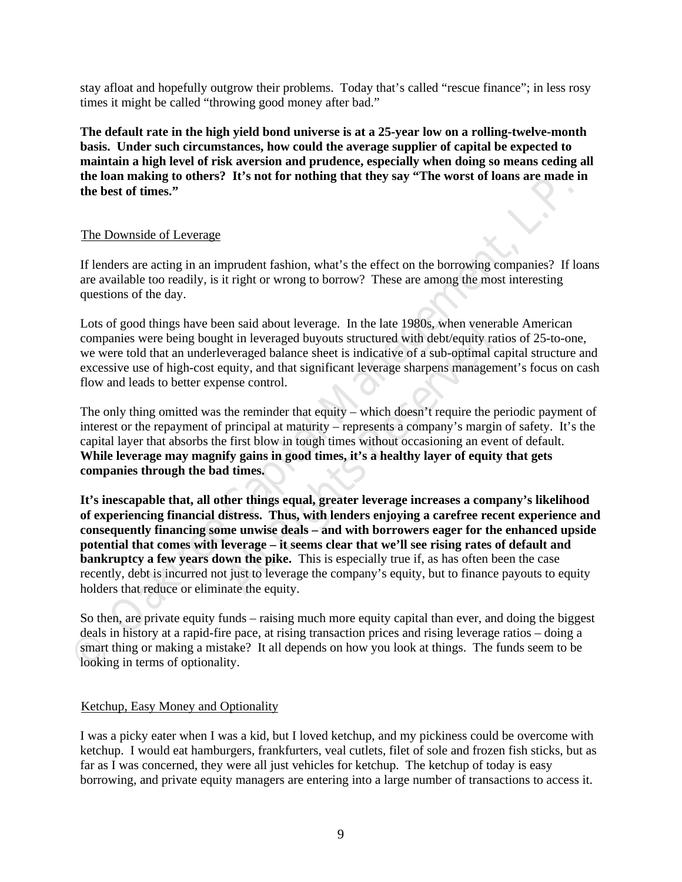stay afloat and hopefully outgrow their problems. Today that's called "rescue finance"; in less rosy times it might be called "throwing good money after bad."

**The default rate in the high yield bond universe is at a 25-year low on a rolling-twelve-month basis. Under such circumstances, how could the average supplier of capital be expected to maintain a high level of risk aversion and prudence, especially when doing so means ceding all the loan making to others? It's not for nothing that they say "The worst of loans are made in the best of times."** 

# The Downside of Leverage

If lenders are acting in an imprudent fashion, what's the effect on the borrowing companies? If loans are available too readily, is it right or wrong to borrow? These are among the most interesting questions of the day.

Lots of good things have been said about leverage. In the late 1980s, when venerable American companies were being bought in leveraged buyouts structured with debt/equity ratios of 25-to-one, we were told that an underleveraged balance sheet is indicative of a sub-optimal capital structure and excessive use of high-cost equity, and that significant leverage sharpens management's focus on cash flow and leads to better expense control.

The only thing omitted was the reminder that equity – which doesn't require the periodic payment of interest or the repayment of principal at maturity – represents a company's margin of safety. It's the capital layer that absorbs the first blow in tough times without occasioning an event of default. **While leverage may magnify gains in good times, it's a healthy layer of equity that gets companies through the bad times.** 

**The Downside of Leverage**<br> **The Downside of Leverage**<br> **The Downside of Leverage**<br> **The Downside of Leverage**<br> **The capital Management (Transfort)** and the effect on the borrowing companies? If load<br>
are available too rea ht in leveraged buyouts structured with debt/equity rativeraged balance sheet is indicative of a sub-optimal capuity, and that significant leverage sharpens managemense control.<br>the reminder that equity – which doesn't req **It's inescapable that, all other things equal, greater leverage increases a company's likelihood of experiencing financial distress. Thus, with lenders enjoying a carefree recent experience and consequently financing some unwise deals – and with borrowers eager for the enhanced upside potential that comes with leverage – it seems clear that we'll see rising rates of default and bankruptcy a few years down the pike.** This is especially true if, as has often been the case recently, debt is incurred not just to leverage the company's equity, but to finance payouts to equity holders that reduce or eliminate the equity.

So then, are private equity funds – raising much more equity capital than ever, and doing the biggest deals in history at a rapid-fire pace, at rising transaction prices and rising leverage ratios – doing a smart thing or making a mistake? It all depends on how you look at things. The funds seem to be looking in terms of optionality.

#### Ketchup, Easy Money and Optionality

I was a picky eater when I was a kid, but I loved ketchup, and my pickiness could be overcome with ketchup. I would eat hamburgers, frankfurters, veal cutlets, filet of sole and frozen fish sticks, but as far as I was concerned, they were all just vehicles for ketchup. The ketchup of today is easy borrowing, and private equity managers are entering into a large number of transactions to access it.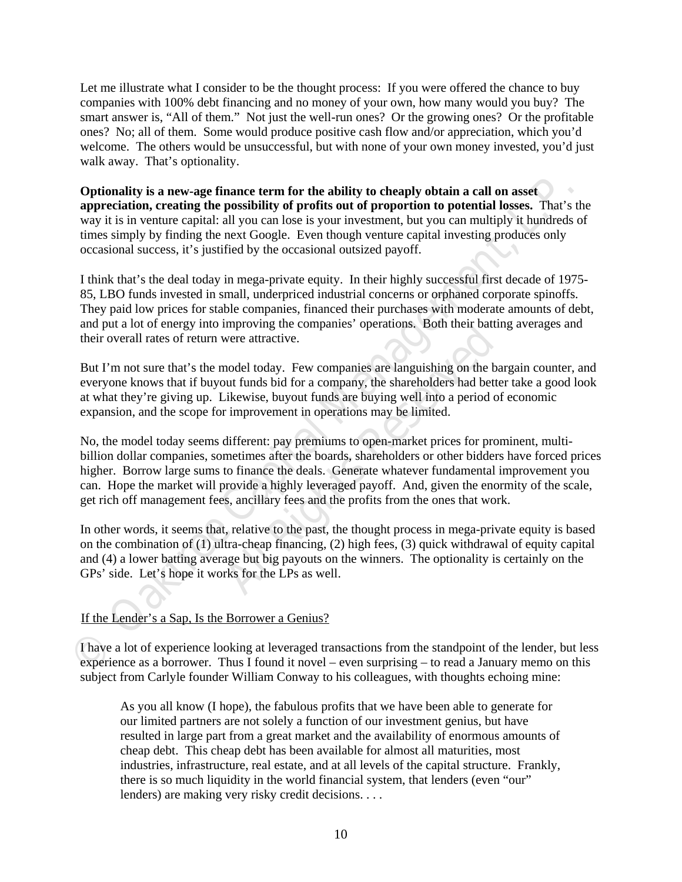Let me illustrate what I consider to be the thought process: If you were offered the chance to buy companies with 100% debt financing and no money of your own, how many would you buy? The smart answer is, "All of them." Not just the well-run ones? Or the growing ones? Or the profitable ones? No; all of them. Some would produce positive cash flow and/or appreciation, which you'd welcome. The others would be unsuccessful, but with none of your own money invested, you'd just walk away. That's optionality.

**Optionality is a new-age finance term for the ability to cheaply obtain a call on asset appreciation, creating the possibility of profits out of proportion to potential losses.** That's the way it is in venture capital: all you can lose is your investment, but you can multiply it hundreds of times simply by finding the next Google. Even though venture capital investing produces only occasional success, it's justified by the occasional outsized payoff.

I think that's the deal today in mega-private equity. In their highly successful first decade of 1975- 85, LBO funds invested in small, underpriced industrial concerns or orphaned corporate spinoffs. They paid low prices for stable companies, financed their purchases with moderate amounts of debt, and put a lot of energy into improving the companies' operations. Both their batting averages and their overall rates of return were attractive.

But I'm not sure that's the model today. Few companies are languishing on the bargain counter, and everyone knows that if buyout funds bid for a company, the shareholders had better take a good look at what they're giving up. Likewise, buyout funds are buying well into a period of economic expansion, and the scope for improvement in operations may be limited.

**Optionality is a new-age finance term for the ability to cheaply obtain a call on asset.**<br>**Appreciation, receding the possibility of profits out of proportion to potential losses. That's thow<br>it is in venture capital: al** were attractive.<br> **All Rights Reserved** and the base and the base the Likewise, buyout funds are buying well into a period of<br> *All* Elikewise, buyout funds are buying well into a period of<br> *All* Ferent: pay premiums to o No, the model today seems different: pay premiums to open-market prices for prominent, multibillion dollar companies, sometimes after the boards, shareholders or other bidders have forced prices higher. Borrow large sums to finance the deals. Generate whatever fundamental improvement you can. Hope the market will provide a highly leveraged payoff. And, given the enormity of the scale, get rich off management fees, ancillary fees and the profits from the ones that work.

In other words, it seems that, relative to the past, the thought process in mega-private equity is based on the combination of (1) ultra-cheap financing, (2) high fees, (3) quick withdrawal of equity capital and (4) a lower batting average but big payouts on the winners. The optionality is certainly on the GPs' side. Let's hope it works for the LPs as well.

If the Lender's a Sap, Is the Borrower a Genius?

I have a lot of experience looking at leveraged transactions from the standpoint of the lender, but less experience as a borrower. Thus I found it novel – even surprising – to read a January memo on this subject from Carlyle founder William Conway to his colleagues, with thoughts echoing mine:

As you all know (I hope), the fabulous profits that we have been able to generate for our limited partners are not solely a function of our investment genius, but have resulted in large part from a great market and the availability of enormous amounts of cheap debt. This cheap debt has been available for almost all maturities, most industries, infrastructure, real estate, and at all levels of the capital structure. Frankly, there is so much liquidity in the world financial system, that lenders (even "our" lenders) are making very risky credit decisions. . . .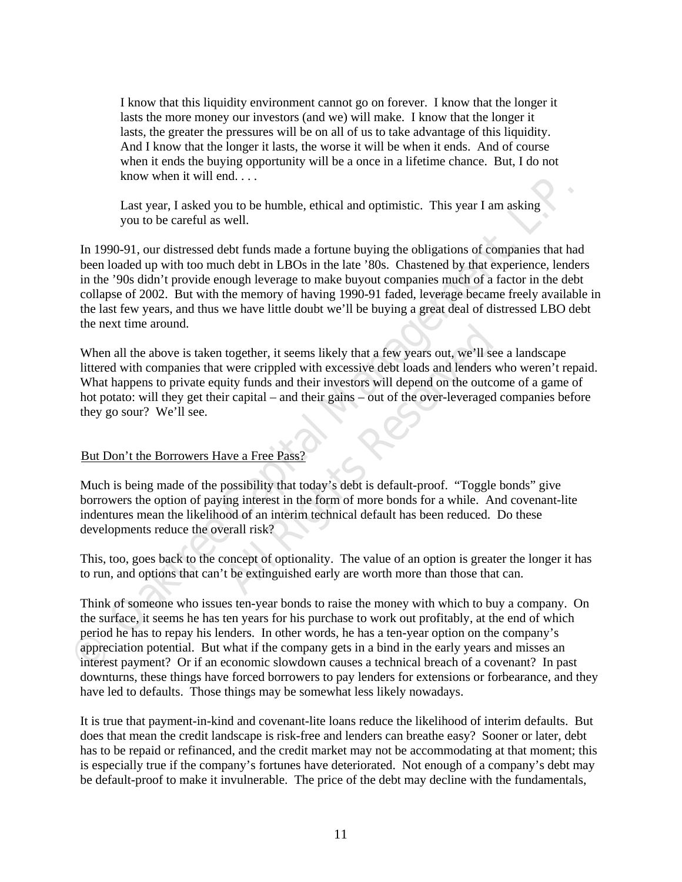I know that this liquidity environment cannot go on forever. I know that the longer it lasts the more money our investors (and we) will make. I know that the longer it lasts, the greater the pressures will be on all of us to take advantage of this liquidity. And I know that the longer it lasts, the worse it will be when it ends. And of course when it ends the buying opportunity will be a once in a lifetime chance. But, I do not know when it will end. . . .

Last year, I asked you to be humble, ethical and optimistic. This year I am asking you to be careful as well.

Last year, I asked you to be humble, ethical and optimistic. This year I am asking<br>you to be careful as well.<br>In 1990-91, our distressed debt funds made a fortune buying the obligations of companies that had<br>been locaded w In 1990-91, our distressed debt funds made a fortune buying the obligations of companies that had been loaded up with too much debt in LBOs in the late '80s. Chastened by that experience, lenders in the '90s didn't provide enough leverage to make buyout companies much of a factor in the debt collapse of 2002. But with the memory of having 1990-91 faded, leverage became freely available in the last few years, and thus we have little doubt we'll be buying a great deal of distressed LBO debt the next time around.

together, it seems likely that a few years out, we'll see<br>were crippled with excessive debt loads and lenders w<br>all depend on the outcor<br>ir capital – and their gains – out of the over-leveraged of<br>ir capital – and their ga When all the above is taken together, it seems likely that a few years out, we'll see a landscape littered with companies that were crippled with excessive debt loads and lenders who weren't repaid. What happens to private equity funds and their investors will depend on the outcome of a game of hot potato: will they get their capital – and their gains – out of the over-leveraged companies before they go sour? We'll see.

#### But Don't the Borrowers Have a Free Pass

Much is being made of the possibility that today's debt is default-proof. "Toggle bonds" give borrowers the option of paying interest in the form of more bonds for a while. And covenant-lite indentures mean the likelihood of an interim technical default has been reduced. Do these developments reduce the overall risk?

This, too, goes back to the concept of optionality. The value of an option is greater the longer it has to run, and options that can't be extinguished early are worth more than those that can.

Think of someone who issues ten-year bonds to raise the money with which to buy a company. On the surface, it seems he has ten years for his purchase to work out profitably, at the end of which period he has to repay his lenders. In other words, he has a ten-year option on the company's appreciation potential. But what if the company gets in a bind in the early years and misses an interest payment? Or if an economic slowdown causes a technical breach of a covenant? In past downturns, these things have forced borrowers to pay lenders for extensions or forbearance, and they have led to defaults. Those things may be somewhat less likely nowadays.

It is true that payment-in-kind and covenant-lite loans reduce the likelihood of interim defaults. But does that mean the credit landscape is risk-free and lenders can breathe easy? Sooner or later, debt has to be repaid or refinanced, and the credit market may not be accommodating at that moment; this is especially true if the company's fortunes have deteriorated. Not enough of a company's debt may be default-proof to make it invulnerable. The price of the debt may decline with the fundamentals,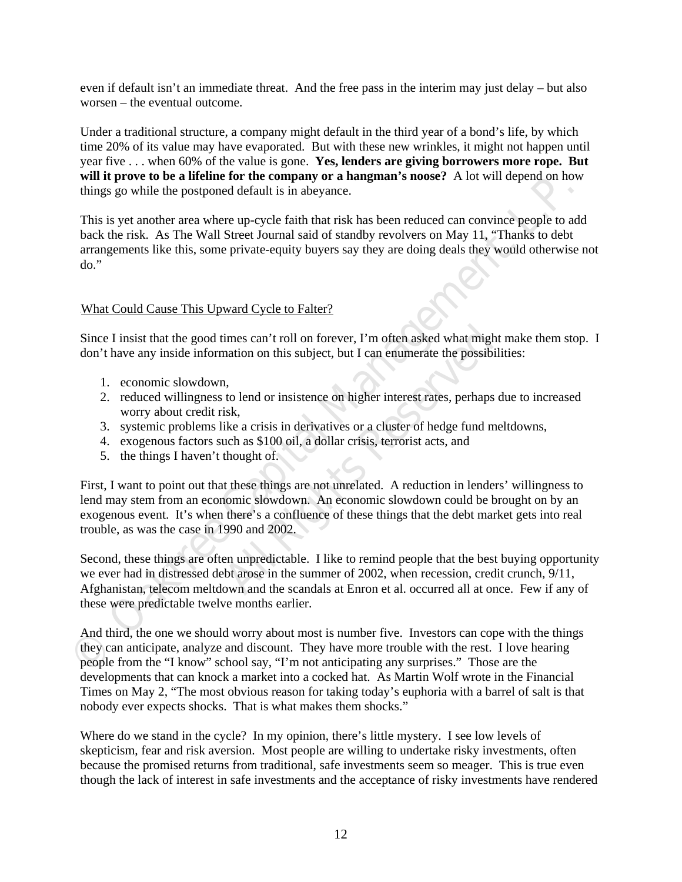even if default isn't an immediate threat. And the free pass in the interim may just delay – but also worsen – the eventual outcome.

Under a traditional structure, a company might default in the third year of a bond's life, by which time 20% of its value may have evaporated. But with these new wrinkles, it might not happen until year five . . . when 60% of the value is gone. **Yes, lenders are giving borrowers more rope. But will it prove to be a lifeline for the company or a hangman's noose?** A lot will depend on how things go while the postponed default is in abeyance.

This is yet another area where up-cycle faith that risk has been reduced can convince people to add back the risk. As The Wall Street Journal said of standby revolvers on May 11, "Thanks to debt arrangements like this, some private-equity buyers say they are doing deals they would otherwise not do."

# UWhat Could Cause This Upward Cycle to Falter?

Since I insist that the good times can't roll on forever, I'm often asked what might make them stop. I don't have any inside information on this subject, but I can enumerate the possibilities:

- 1. economic slowdown,
- 2. reduced willingness to lend or insistence on higher interest rates, perhaps due to increased worry about credit risk,
- 3. systemic problems like a crisis in derivatives or a cluster of hedge fund meltdowns,
- 4. exogenous factors such as \$100 oil, a dollar crisis, terrorist acts, and
- 5. the things I haven't thought of.

This is yet another are were up-cycle faith that risk has been reduced can convince people to add<br>that is is yet another area where up-cycle faith that risk has been reduced can convince people to add<br>arch the risk. As Th imes can't roll on forever, I'm often asked what might<br>mation on this subject, but I can enumerate the possibili<br>nation on this subject, but I can enumerate the possibili<br>isk,<br>ike a crisis in derivatives or a cluster of he First, I want to point out that these things are not unrelated. A reduction in lenders' willingness to lend may stem from an economic slowdown. An economic slowdown could be brought on by an exogenous event. It's when there's a confluence of these things that the debt market gets into real trouble, as was the case in 1990 and 2002.

Second, these things are often unpredictable. I like to remind people that the best buying opportunity we ever had in distressed debt arose in the summer of 2002, when recession, credit crunch, 9/11, Afghanistan, telecom meltdown and the scandals at Enron et al. occurred all at once. Few if any of these were predictable twelve months earlier.

And third, the one we should worry about most is number five. Investors can cope with the things they can anticipate, analyze and discount. They have more trouble with the rest. I love hearing people from the "I know" school say, "I'm not anticipating any surprises." Those are the developments that can knock a market into a cocked hat. As Martin Wolf wrote in the Financial Times on May 2, "The most obvious reason for taking today's euphoria with a barrel of salt is that nobody ever expects shocks. That is what makes them shocks."

Where do we stand in the cycle? In my opinion, there's little mystery. I see low levels of skepticism, fear and risk aversion. Most people are willing to undertake risky investments, often because the promised returns from traditional, safe investments seem so meager. This is true even though the lack of interest in safe investments and the acceptance of risky investments have rendered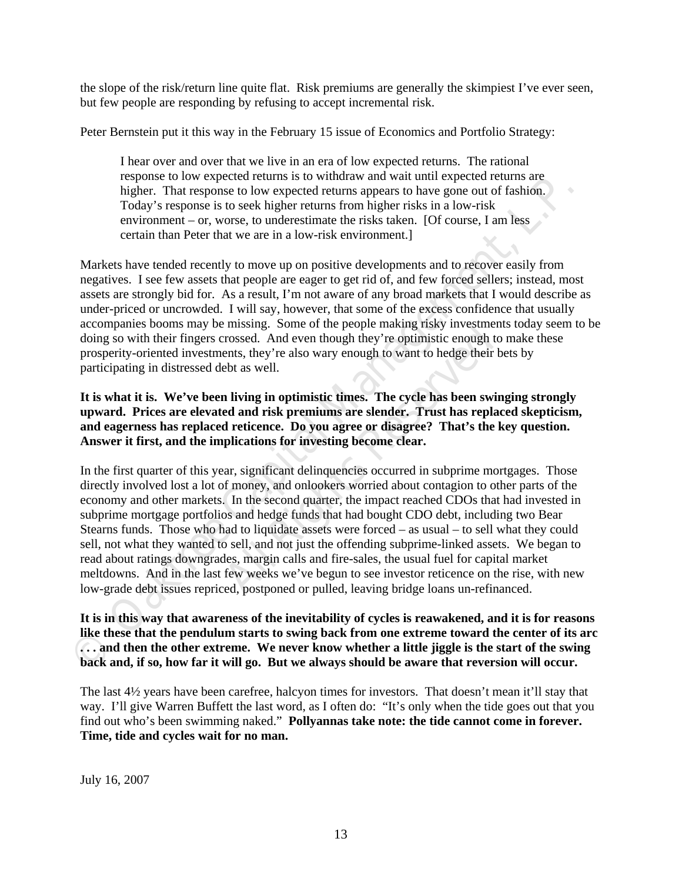the slope of the risk/return line quite flat. Risk premiums are generally the skimpiest I've ever seen, but few people are responding by refusing to accept incremental risk.

Peter Bernstein put it this way in the February 15 issue of Economics and Portfolio Strategy:

I hear over and over that we live in an era of low expected returns. The rational response to low expected returns is to withdraw and wait until expected returns are higher. That response to low expected returns appears to have gone out of fashion. Today's response is to seek higher returns from higher risks in a low-risk environment – or, worse, to underestimate the risks taken. [Of course, I am less certain than Peter that we are in a low-risk environment.]

Markets have tended recently to move up on positive developments and to recover easily from negatives. I see few assets that people are eager to get rid of, and few forced sellers; instead, most assets are strongly bid for. As a result, I'm not aware of any broad markets that I would describe as under-priced or uncrowded. I will say, however, that some of the excess confidence that usually accompanies booms may be missing. Some of the people making risky investments today seem to be doing so with their fingers crossed. And even though they're optimistic enough to make these prosperity-oriented investments, they're also wary enough to want to hedge their bets by participating in distressed debt as well.

# **It is what it is. We've been living in optimistic times. The cycle has been swinging strongly upward. Prices are elevated and risk premiums are slender. Trust has replaced skepticism, and eagerness has replaced reticence. Do you agree or disagree? That's the key question. Answer it first, and the implications for investing become clear.**

ingher. That response to low expected returns appears to have gone out of fashion. Tody's response is to seek higher returns from higher risks in a low-risk convirtment. To worse, the map in this in a low-risk environment. rossed. And even though they're optimistic enough to<br>ents, they're also wary enough to want to hedge their b<br>ebt as well.<br>**a** living in optimistic times. The cycle has been swinced and risk premiums are slender. Trust has In the first quarter of this year, significant delinquencies occurred in subprime mortgages. Those directly involved lost a lot of money, and onlookers worried about contagion to other parts of the economy and other markets. In the second quarter, the impact reached CDOs that had invested in subprime mortgage portfolios and hedge funds that had bought CDO debt, including two Bear Stearns funds. Those who had to liquidate assets were forced – as usual – to sell what they could sell, not what they wanted to sell, and not just the offending subprime-linked assets. We began to read about ratings downgrades, margin calls and fire-sales, the usual fuel for capital market meltdowns. And in the last few weeks we've begun to see investor reticence on the rise, with new low-grade debt issues repriced, postponed or pulled, leaving bridge loans un-refinanced.

**It is in this way that awareness of the inevitability of cycles is reawakened, and it is for reasons like these that the pendulum starts to swing back from one extreme toward the center of its arc . . . and then the other extreme. We never know whether a little jiggle is the start of the swing back and, if so, how far it will go. But we always should be aware that reversion will occur.** 

The last 4½ years have been carefree, halcyon times for investors. That doesn't mean it'll stay that way. I'll give Warren Buffett the last word, as I often do: "It's only when the tide goes out that you find out who's been swimming naked." **Pollyannas take note: the tide cannot come in forever. Time, tide and cycles wait for no man.** 

July 16, 2007